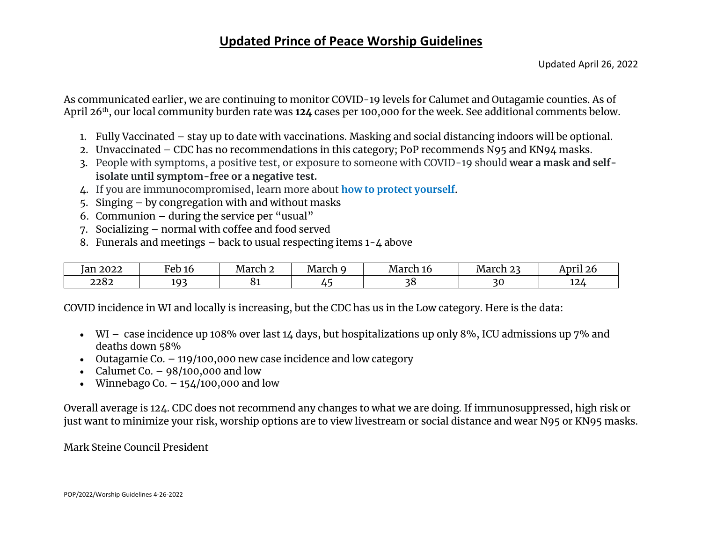#### **Updated Prince of Peace Worship Guidelines**

As communicated earlier, we are continuing to monitor COVID-19 levels for Calumet and Outagamie counties. As of April 26th, our local community burden rate was **124** cases per 100,000 for the week. See additional comments below.

- 1. Fully Vaccinated stay up to date with vaccinations. Masking and social distancing indoors will be optional.
- 2. Unvaccinated CDC has no recommendations in this category; PoP recommends N95 and KN94 masks.
- 3. People with symptoms, a positive test, or exposure to someone with COVID-19 should **wear a mask and selfisolate until symptom-free or a negative test.**
- 4. If you are immunocompromised, learn more about **[how to protect yourself](https://www.cdc.gov/coronavirus/2019-ncov/science/community-levels.html#anchor_47145)**.
- 5. Singing by congregation with and without masks
- 6. Communion  $-$  during the service per "usual"
- 7. Socializing normal with coffee and food served
- 8. Funerals and meetings  $-$  back to usual respecting items  $1 \Delta$  above

| 2022<br>Tan | Feb<br>TO       | - -<br>March | - -<br>March<br>ъ. | March<br>--<br>UI IU | $\sim$<br>March | April 26      |
|-------------|-----------------|--------------|--------------------|----------------------|-----------------|---------------|
| 2282        | $10^\circ$<br>- | ັບ           |                    |                      |                 | $\sim$<br>⊥∠4 |

COVID incidence in WI and locally is increasing, but the CDC has us in the Low category. Here is the data:

- WI case incidence up 108% over last 14 days, but hospitalizations up only 8%, ICU admissions up 7% and deaths down 58%
- Outagamie Co. 119/100,000 new case incidence and low category
- Calumet Co.  $-98/100,000$  and low
- Winnebago Co.  $-154/100,000$  and low

Overall average is 124. CDC does not recommend any changes to what we are doing. If immunosuppressed, high risk or just want to minimize your risk, worship options are to view livestream or social distance and wear N95 or KN95 masks.

Mark Steine Council President